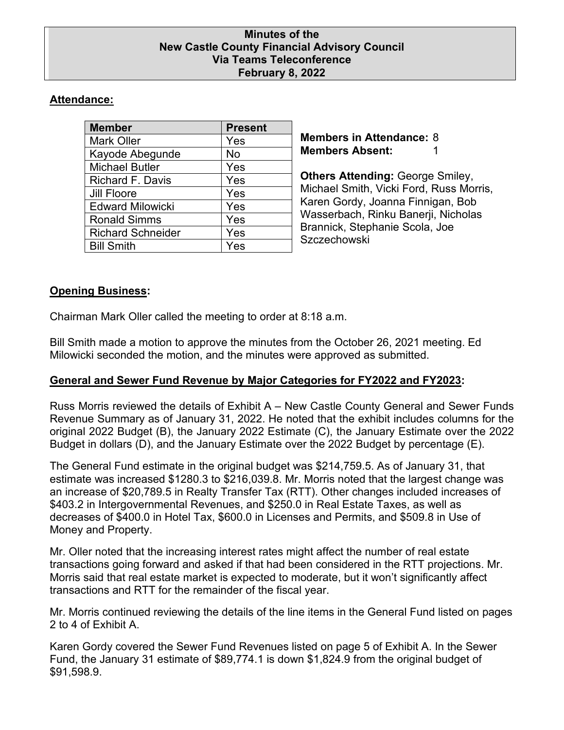## **Minutes of the New Castle County Financial Advisory Council Via Teams Teleconference February 8, 2022**

# **Attendance:**

| <b>Member</b>            | <b>Present</b> |
|--------------------------|----------------|
| <b>Mark Oller</b>        | Yes            |
| Kayode Abegunde          | No             |
| <b>Michael Butler</b>    | Yes            |
| <b>Richard F. Davis</b>  | Yes            |
| Jill Floore              | Yes            |
| <b>Edward Milowicki</b>  | Yes            |
| <b>Ronald Simms</b>      | Yes            |
| <b>Richard Schneider</b> | Yes            |
| <b>Bill Smith</b>        | Yes            |

**Members in Attendance:** 8 **Members Absent:** 

**Others Attending:** George Smiley, Michael Smith, Vicki Ford, Russ Morris, Karen Gordy, Joanna Finnigan, Bob Wasserbach, Rinku Banerji, Nicholas Brannick, Stephanie Scola, Joe Szczechowski

# **Opening Business:**

Chairman Mark Oller called the meeting to order at 8:18 a.m.

Bill Smith made a motion to approve the minutes from the October 26, 2021 meeting. Ed Milowicki seconded the motion, and the minutes were approved as submitted.

## **General and Sewer Fund Revenue by Major Categories for FY2022 and FY2023:**

Russ Morris reviewed the details of Exhibit A – New Castle County General and Sewer Funds Revenue Summary as of January 31, 2022. He noted that the exhibit includes columns for the original 2022 Budget (B), the January 2022 Estimate (C), the January Estimate over the 2022 Budget in dollars (D), and the January Estimate over the 2022 Budget by percentage (E).

The General Fund estimate in the original budget was \$214,759.5. As of January 31, that estimate was increased \$1280.3 to \$216,039.8. Mr. Morris noted that the largest change was an increase of \$20,789.5 in Realty Transfer Tax (RTT). Other changes included increases of \$403.2 in Intergovernmental Revenues, and \$250.0 in Real Estate Taxes, as well as decreases of \$400.0 in Hotel Tax, \$600.0 in Licenses and Permits, and \$509.8 in Use of Money and Property.

Mr. Oller noted that the increasing interest rates might affect the number of real estate transactions going forward and asked if that had been considered in the RTT projections. Mr. Morris said that real estate market is expected to moderate, but it won't significantly affect transactions and RTT for the remainder of the fiscal year.

Mr. Morris continued reviewing the details of the line items in the General Fund listed on pages 2 to 4 of Exhibit A.

Karen Gordy covered the Sewer Fund Revenues listed on page 5 of Exhibit A. In the Sewer Fund, the January 31 estimate of \$89,774.1 is down \$1,824.9 from the original budget of \$91,598.9.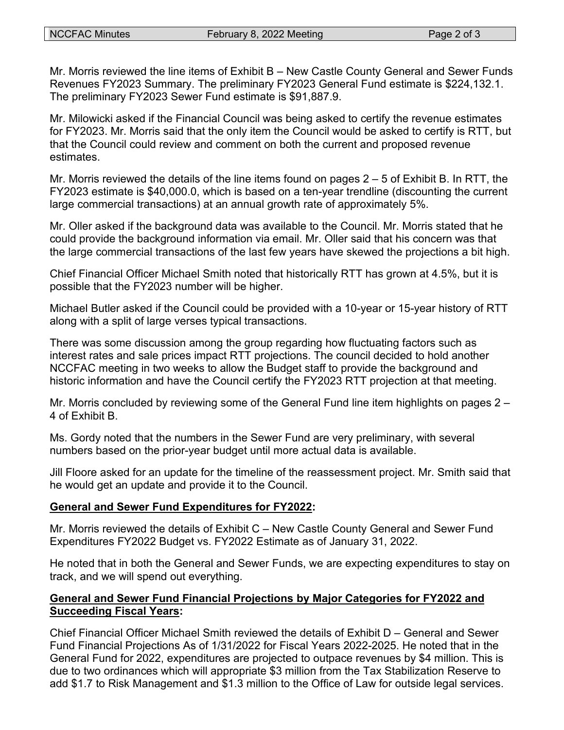Mr. Morris reviewed the line items of Exhibit B – New Castle County General and Sewer Funds Revenues FY2023 Summary. The preliminary FY2023 General Fund estimate is \$224,132.1. The preliminary FY2023 Sewer Fund estimate is \$91,887.9.

Mr. Milowicki asked if the Financial Council was being asked to certify the revenue estimates for FY2023. Mr. Morris said that the only item the Council would be asked to certify is RTT, but that the Council could review and comment on both the current and proposed revenue estimates.

Mr. Morris reviewed the details of the line items found on pages  $2 - 5$  of Exhibit B. In RTT, the FY2023 estimate is \$40,000.0, which is based on a ten-year trendline (discounting the current large commercial transactions) at an annual growth rate of approximately 5%.

Mr. Oller asked if the background data was available to the Council. Mr. Morris stated that he could provide the background information via email. Mr. Oller said that his concern was that the large commercial transactions of the last few years have skewed the projections a bit high.

Chief Financial Officer Michael Smith noted that historically RTT has grown at 4.5%, but it is possible that the FY2023 number will be higher.

Michael Butler asked if the Council could be provided with a 10-year or 15-year history of RTT along with a split of large verses typical transactions.

There was some discussion among the group regarding how fluctuating factors such as interest rates and sale prices impact RTT projections. The council decided to hold another NCCFAC meeting in two weeks to allow the Budget staff to provide the background and historic information and have the Council certify the FY2023 RTT projection at that meeting.

Mr. Morris concluded by reviewing some of the General Fund line item highlights on pages 2 – 4 of Exhibit B.

Ms. Gordy noted that the numbers in the Sewer Fund are very preliminary, with several numbers based on the prior-year budget until more actual data is available.

Jill Floore asked for an update for the timeline of the reassessment project. Mr. Smith said that he would get an update and provide it to the Council.

### **General and Sewer Fund Expenditures for FY2022:**

Mr. Morris reviewed the details of Exhibit C – New Castle County General and Sewer Fund Expenditures FY2022 Budget vs. FY2022 Estimate as of January 31, 2022.

He noted that in both the General and Sewer Funds, we are expecting expenditures to stay on track, and we will spend out everything.

## **General and Sewer Fund Financial Projections by Major Categories for FY2022 and Succeeding Fiscal Years:**

Chief Financial Officer Michael Smith reviewed the details of Exhibit D – General and Sewer Fund Financial Projections As of 1/31/2022 for Fiscal Years 2022-2025. He noted that in the General Fund for 2022, expenditures are projected to outpace revenues by \$4 million. This is due to two ordinances which will appropriate \$3 million from the Tax Stabilization Reserve to add \$1.7 to Risk Management and \$1.3 million to the Office of Law for outside legal services.